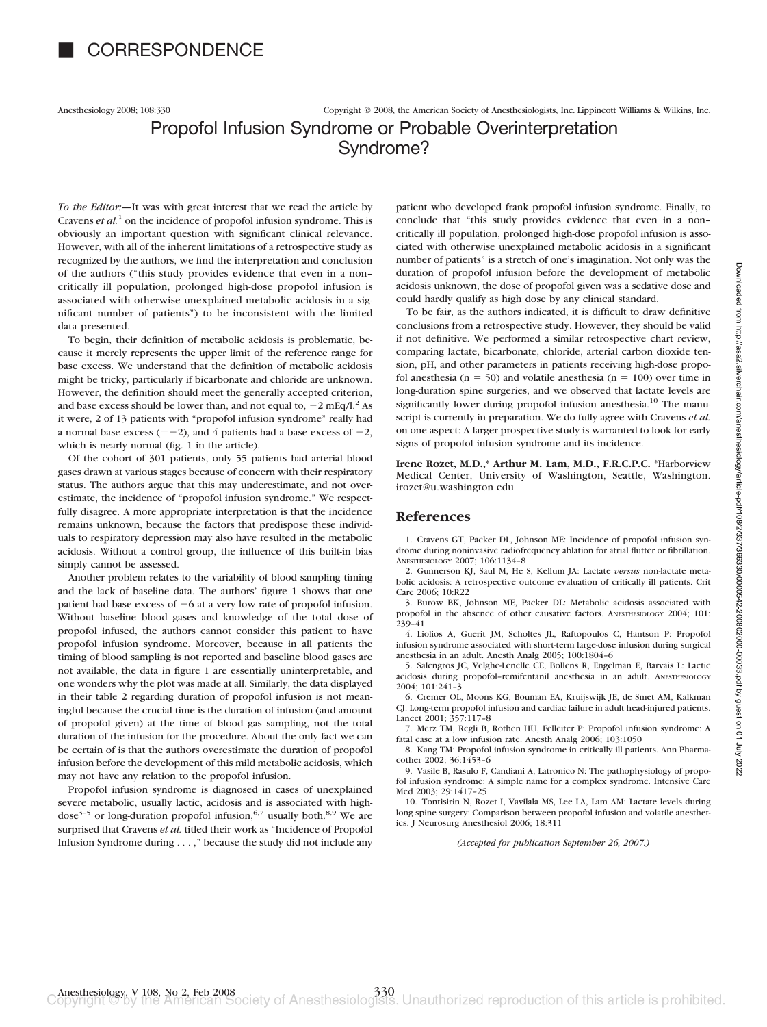Anesthesiology 2008; 108:330 Copyright © 2008, the American Society of Anesthesiologists, Inc. Lippincott Williams & Wilkins, Inc.

## Propofol Infusion Syndrome or Probable Overinterpretation Syndrome?

*To the Editor:—*It was with great interest that we read the article by Cravens *et al.*<sup>1</sup> on the incidence of propofol infusion syndrome. This is obviously an important question with significant clinical relevance. However, with all of the inherent limitations of a retrospective study as recognized by the authors, we find the interpretation and conclusion of the authors ("this study provides evidence that even in a non– critically ill population, prolonged high-dose propofol infusion is associated with otherwise unexplained metabolic acidosis in a significant number of patients") to be inconsistent with the limited data presented.

To begin, their definition of metabolic acidosis is problematic, because it merely represents the upper limit of the reference range for base excess. We understand that the definition of metabolic acidosis might be tricky, particularly if bicarbonate and chloride are unknown. However, the definition should meet the generally accepted criterion, and base excess should be lower than, and not equal to,  $-2$  mEq/l.<sup>2</sup> As it were, 2 of 13 patients with "propofol infusion syndrome" really had a normal base excess  $(=-2)$ , and 4 patients had a base excess of  $-2$ , which is nearly normal (fig. 1 in the article).

Of the cohort of 301 patients, only 55 patients had arterial blood gases drawn at various stages because of concern with their respiratory status. The authors argue that this may underestimate, and not overestimate, the incidence of "propofol infusion syndrome." We respectfully disagree. A more appropriate interpretation is that the incidence remains unknown, because the factors that predispose these individuals to respiratory depression may also have resulted in the metabolic acidosis. Without a control group, the influence of this built-in bias simply cannot be assessed.

Another problem relates to the variability of blood sampling timing and the lack of baseline data. The authors' figure 1 shows that one patient had base excess of  $-6$  at a very low rate of propofol infusion. Without baseline blood gases and knowledge of the total dose of propofol infused, the authors cannot consider this patient to have propofol infusion syndrome. Moreover, because in all patients the timing of blood sampling is not reported and baseline blood gases are not available, the data in figure 1 are essentially uninterpretable, and one wonders why the plot was made at all. Similarly, the data displayed in their table 2 regarding duration of propofol infusion is not meaningful because the crucial time is the duration of infusion (and amount of propofol given) at the time of blood gas sampling, not the total duration of the infusion for the procedure. About the only fact we can be certain of is that the authors overestimate the duration of propofol infusion before the development of this mild metabolic acidosis, which may not have any relation to the propofol infusion.

Propofol infusion syndrome is diagnosed in cases of unexplained severe metabolic, usually lactic, acidosis and is associated with highdose<sup>3-5</sup> or long-duration propofol infusion,<sup>6,7</sup> usually both.<sup>8,9</sup> We are surprised that Cravens *et al.* titled their work as "Incidence of Propofol Infusion Syndrome during . . . ," because the study did not include any

patient who developed frank propofol infusion syndrome. Finally, to conclude that "this study provides evidence that even in a non– critically ill population, prolonged high-dose propofol infusion is associated with otherwise unexplained metabolic acidosis in a significant number of patients" is a stretch of one's imagination. Not only was the duration of propofol infusion before the development of metabolic acidosis unknown, the dose of propofol given was a sedative dose and could hardly qualify as high dose by any clinical standard.

To be fair, as the authors indicated, it is difficult to draw definitive conclusions from a retrospective study. However, they should be valid if not definitive. We performed a similar retrospective chart review, comparing lactate, bicarbonate, chloride, arterial carbon dioxide tension, pH, and other parameters in patients receiving high-dose propofol anesthesia ( $n = 50$ ) and volatile anesthesia ( $n = 100$ ) over time in long-duration spine surgeries, and we observed that lactate levels are significantly lower during propofol infusion anesthesia.<sup>10</sup> The manuscript is currently in preparation. We do fully agree with Cravens *et al.* on one aspect: A larger prospective study is warranted to look for early signs of propofol infusion syndrome and its incidence.

**Irene Rozet, M.D.,\* Arthur M. Lam, M.D., F.R.C.P.C.** \*Harborview Medical Center, University of Washington, Seattle, Washington. irozet@u.washington.edu

#### **References**

1. Cravens GT, Packer DL, Johnson ME: Incidence of propofol infusion syndrome during noninvasive radiofrequency ablation for atrial flutter or fibrillation. ANESTHESIOLOGY 2007; 106:1134–8

2. Gunnerson KJ, Saul M, He S, Kellum JA: Lactate *versus* non-lactate metabolic acidosis: A retrospective outcome evaluation of critically ill patients. Crit Care 2006; 10:R22

3. Burow BK, Johnson ME, Packer DL: Metabolic acidosis associated with propofol in the absence of other causative factors. ANESTHESIOLOGY 2004; 101: 239–41

4. Liolios A, Guerit JM, Scholtes JL, Raftopoulos C, Hantson P: Propofol infusion syndrome associated with short-term large-dose infusion during surgical anesthesia in an adult. Anesth Analg 2005; 100:1804–6

5. Salengros JC, Velghe-Lenelle CE, Bollens R, Engelman E, Barvais L: Lactic acidosis during propofol-remifentanil anesthesia in an adult. ANESTHESIOLOGY 2004; 101:241–3

6. Cremer OL, Moons KG, Bouman EA, Kruijswijk JE, de Smet AM, Kalkman CJ: Long-term propofol infusion and cardiac failure in adult head-injured patients. Lancet 2001; 357:117–8

7. Merz TM, Regli B, Rothen HU, Felleiter P: Propofol infusion syndrome: A fatal case at a low infusion rate. Anesth Analg 2006; 103:1050

8. Kang TM: Propofol infusion syndrome in critically ill patients. Ann Pharmacother 2002; 36:1453–6

9. Vasile B, Rasulo F, Candiani A, Latronico N: The pathophysiology of propofol infusion syndrome: A simple name for a complex syndrome. Intensive Care Med 2003; 29:1417–25

10. Tontisirin N, Rozet I, Vavilala MS, Lee LA, Lam AM: Lactate levels during long spine surgery: Comparison between propofol infusion and volatile anesthetics. J Neurosurg Anesthesiol 2006; 18:311

*(Accepted for publication September 26, 2007.)*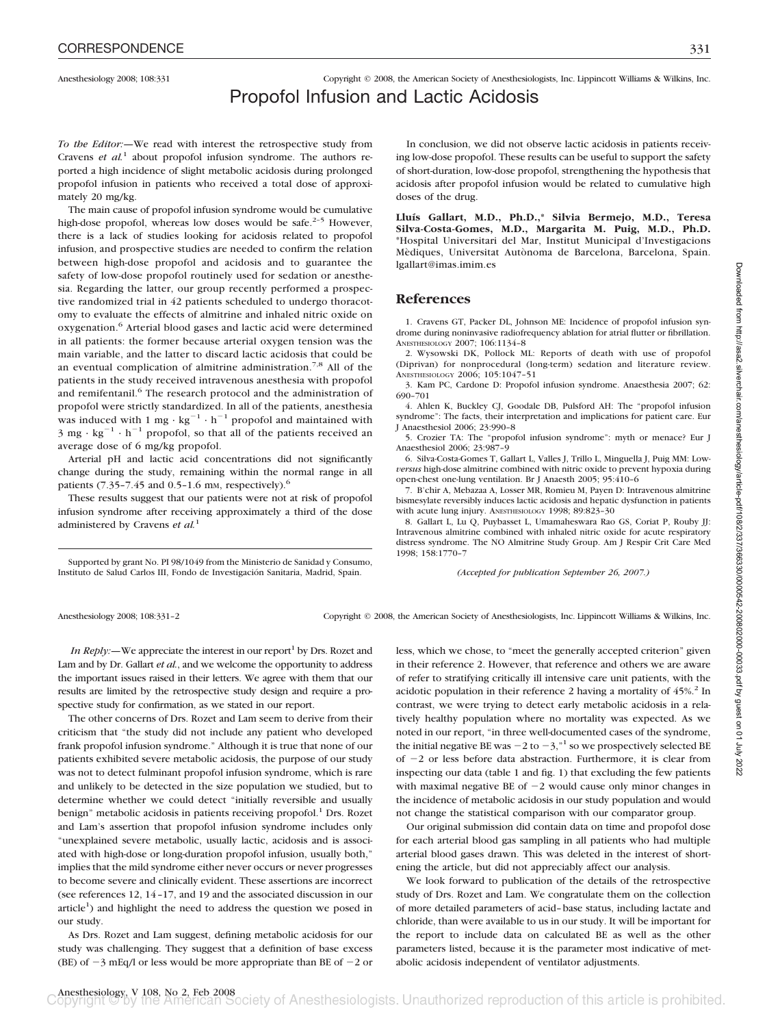Anesthesiology 2008; 108:331 Copyright © 2008, the American Society of Anesthesiologists, Inc. Lippincott Williams & Wilkins, Inc. Propofol Infusion and Lactic Acidosis

*To the Editor:—*We read with interest the retrospective study from Cravens *et al.*<sup>1</sup> about propofol infusion syndrome. The authors reported a high incidence of slight metabolic acidosis during prolonged propofol infusion in patients who received a total dose of approximately 20 mg/kg.

The main cause of propofol infusion syndrome would be cumulative high-dose propofol, whereas low doses would be safe.<sup>2-5</sup> However, there is a lack of studies looking for acidosis related to propofol infusion, and prospective studies are needed to confirm the relation between high-dose propofol and acidosis and to guarantee the safety of low-dose propofol routinely used for sedation or anesthesia. Regarding the latter, our group recently performed a prospective randomized trial in 42 patients scheduled to undergo thoracotomy to evaluate the effects of almitrine and inhaled nitric oxide on oxygenation.<sup>6</sup> Arterial blood gases and lactic acid were determined in all patients: the former because arterial oxygen tension was the main variable, and the latter to discard lactic acidosis that could be an eventual complication of almitrine administration.<sup>7,8</sup> All of the patients in the study received intravenous anesthesia with propofol and remifentanil.<sup>6</sup> The research protocol and the administration of propofol were strictly standardized. In all of the patients, anesthesia was induced with 1 mg  $\cdot$  kg<sup>-1</sup>  $\cdot$  h<sup>-1</sup> propofol and maintained with  $3 \text{ mg} \cdot \text{kg}^{-1} \cdot \text{h}^{-1}$  propofol, so that all of the patients received an average dose of 6 mg/kg propofol.

Arterial pH and lactic acid concentrations did not significantly change during the study, remaining within the normal range in all patients  $(7.35-7.45 \text{ and } 0.5-1.6 \text{ mm}$ , respectively).<sup>6</sup>

These results suggest that our patients were not at risk of propofol infusion syndrome after receiving approximately a third of the dose administered by Cravens *et al.*<sup>1</sup>

Supported by grant No. PI 98/1049 from the Ministerio de Sanidad y Consumo, Instituto de Salud Carlos III, Fondo de Investigación Sanitaria, Madrid, Spain.

In conclusion, we did not observe lactic acidosis in patients receiving low-dose propofol. These results can be useful to support the safety of short-duration, low-dose propofol, strengthening the hypothesis that acidosis after propofol infusion would be related to cumulative high doses of the drug.

**Lluı´s Gallart, M.D., Ph.D.,\* Silvia Bermejo, M.D., Teresa Silva-Costa-Gomes, M.D., Margarita M. Puig, M.D., Ph.D.** \*Hospital Universitari del Mar, Institut Municipal d'Investigacions Mèdiques, Universitat Autònoma de Barcelona, Barcelona, Spain. lgallart@imas.imim.es

#### **References**

1. Cravens GT, Packer DL, Johnson ME: Incidence of propofol infusion syndrome during noninvasive radiofrequency ablation for atrial flutter or fibrillation. ANESTHESIOLOGY 2007; 106:1134–8

2. Wysowski DK, Pollock ML: Reports of death with use of propofol (Diprivan) for nonprocedural (long-term) sedation and literature review. ANESTHESIOLOGY 2006; 105:1047–51

3. Kam PC, Cardone D: Propofol infusion syndrome. Anaesthesia 2007; 62: 690–701

4. Ahlen K, Buckley CJ, Goodale DB, Pulsford AH: The "propofol infusion syndrome": The facts, their interpretation and implications for patient care. Eur J Anaesthesiol 2006; 23:990–8

5. Crozier TA: The "propofol infusion syndrome": myth or menace? Eur J Anaesthesiol 2006; 23:987–9

6. Silva-Costa-Gomes T, Gallart L, Valles J, Trillo L, Minguella J, Puig MM: Low*versus* high-dose almitrine combined with nitric oxide to prevent hypoxia during open-chest one-lung ventilation. Br J Anaesth 2005; 95:410–6

7. B'chir A, Mebazaa A, Losser MR, Romieu M, Payen D: Intravenous almitrine bismesylate reversibly induces lactic acidosis and hepatic dysfunction in patients with acute lung injury. ANESTHESIOLOGY 1998; 89:823–30

8. Gallart L, Lu Q, Puybasset L, Umamaheswara Rao GS, Coriat P, Rouby JJ: Intravenous almitrine combined with inhaled nitric oxide for acute respiratory distress syndrome. The NO Almitrine Study Group. Am J Respir Crit Care Med 1998; 158:1770–7

*(Accepted for publication September 26, 2007.)*

Anesthesiology 2008; 108:331–2 Copyright © 2008, the American Society of Anesthesiologists, Inc. Lippincott Williams & Wilkins, Inc.

*In Reply:*—We appreciate the interest in our report<sup>1</sup> by Drs. Rozet and Lam and by Dr. Gallart *et al.*, and we welcome the opportunity to address the important issues raised in their letters. We agree with them that our results are limited by the retrospective study design and require a prospective study for confirmation, as we stated in our report.

The other concerns of Drs. Rozet and Lam seem to derive from their criticism that "the study did not include any patient who developed frank propofol infusion syndrome." Although it is true that none of our patients exhibited severe metabolic acidosis, the purpose of our study was not to detect fulminant propofol infusion syndrome, which is rare and unlikely to be detected in the size population we studied, but to determine whether we could detect "initially reversible and usually benign" metabolic acidosis in patients receiving propofol.<sup>1</sup> Drs. Rozet and Lam's assertion that propofol infusion syndrome includes only "unexplained severe metabolic, usually lactic, acidosis and is associated with high-dose or long-duration propofol infusion, usually both," implies that the mild syndrome either never occurs or never progresses to become severe and clinically evident. These assertions are incorrect (see references 12, 14 –17, and 19 and the associated discussion in our article<sup>1</sup>) and highlight the need to address the question we posed in our study.

As Drs. Rozet and Lam suggest, defining metabolic acidosis for our study was challenging. They suggest that a definition of base excess (BE) of  $-3$  mEq/l or less would be more appropriate than BE of  $-2$  or

less, which we chose, to "meet the generally accepted criterion" given in their reference 2. However, that reference and others we are aware of refer to stratifying critically ill intensive care unit patients, with the acidotic population in their reference 2 having a mortality of  $45\%$ <sup>2</sup> In contrast, we were trying to detect early metabolic acidosis in a relatively healthy population where no mortality was expected. As we noted in our report, "in three well-documented cases of the syndrome, the initial negative BE was  $-2$  to  $-3$ ,"<sup>1</sup> so we prospectively selected BE of  $-2$  or less before data abstraction. Furthermore, it is clear from inspecting our data (table 1 and fig. 1) that excluding the few patients with maximal negative BE of  $-2$  would cause only minor changes in the incidence of metabolic acidosis in our study population and would not change the statistical comparison with our comparator group.

Our original submission did contain data on time and propofol dose for each arterial blood gas sampling in all patients who had multiple arterial blood gases drawn. This was deleted in the interest of shortening the article, but did not appreciably affect our analysis.

We look forward to publication of the details of the retrospective study of Drs. Rozet and Lam. We congratulate them on the collection of more detailed parameters of acid– base status, including lactate and chloride, than were available to us in our study. It will be important for the report to include data on calculated BE as well as the other parameters listed, because it is the parameter most indicative of metabolic acidosis independent of ventilator adjustments.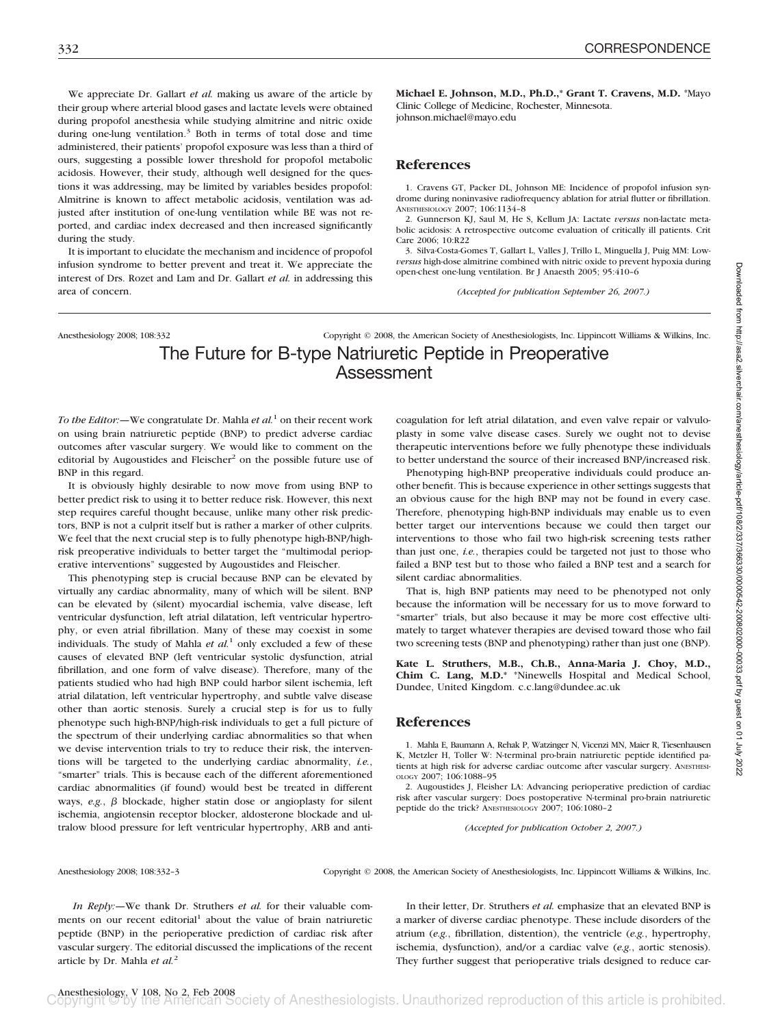We appreciate Dr. Gallart *et al.* making us aware of the article by their group where arterial blood gases and lactate levels were obtained during propofol anesthesia while studying almitrine and nitric oxide during one-lung ventilation.<sup>3</sup> Both in terms of total dose and time administered, their patients' propofol exposure was less than a third of ours, suggesting a possible lower threshold for propofol metabolic acidosis. However, their study, although well designed for the questions it was addressing, may be limited by variables besides propofol: Almitrine is known to affect metabolic acidosis, ventilation was adjusted after institution of one-lung ventilation while BE was not reported, and cardiac index decreased and then increased significantly during the study.

It is important to elucidate the mechanism and incidence of propofol infusion syndrome to better prevent and treat it. We appreciate the interest of Drs. Rozet and Lam and Dr. Gallart *et al.* in addressing this area of concern.

**Michael E. Johnson, M.D., Ph.D.,\* Grant T. Cravens, M.D.** \*Mayo Clinic College of Medicine, Rochester, Minnesota. johnson.michael@mayo.edu

#### **References**

1. Cravens GT, Packer DL, Johnson ME: Incidence of propofol infusion syndrome during noninvasive radiofrequency ablation for atrial flutter or fibrillation. ANESTHESIOLOGY 2007; 106:1134–8

2. Gunnerson KJ, Saul M, He S, Kellum JA: Lactate *versus* non-lactate metabolic acidosis: A retrospective outcome evaluation of critically ill patients. Crit Care 2006; 10:R22

3. Silva-Costa-Gomes T, Gallart L, Valles J, Trillo L, Minguella J, Puig MM: Low*versus* high-dose almitrine combined with nitric oxide to prevent hypoxia during open-chest one-lung ventilation. Br J Anaesth 2005; 95:410–6

*(Accepted for publication September 26, 2007.)*

Anesthesiology 2008; 108:332 Copyright © 2008, the American Society of Anesthesiologists, Inc. Lippincott Williams & Wilkins, Inc.

# The Future for B-type Natriuretic Peptide in Preoperative Assessment

*To the Editor*:—We congratulate Dr. Mahla *et al.*<sup>1</sup> on their recent work on using brain natriuretic peptide (BNP) to predict adverse cardiac outcomes after vascular surgery. We would like to comment on the editorial by Augoustides and Fleischer<sup>2</sup> on the possible future use of BNP in this regard.

It is obviously highly desirable to now move from using BNP to better predict risk to using it to better reduce risk. However, this next step requires careful thought because, unlike many other risk predictors, BNP is not a culprit itself but is rather a marker of other culprits. We feel that the next crucial step is to fully phenotype high-BNP/highrisk preoperative individuals to better target the "multimodal perioperative interventions" suggested by Augoustides and Fleischer.

This phenotyping step is crucial because BNP can be elevated by virtually any cardiac abnormality, many of which will be silent. BNP can be elevated by (silent) myocardial ischemia, valve disease, left ventricular dysfunction, left atrial dilatation, left ventricular hypertrophy, or even atrial fibrillation. Many of these may coexist in some individuals. The study of Mahla *et al.*<sup>1</sup> only excluded a few of these causes of elevated BNP (left ventricular systolic dysfunction, atrial fibrillation, and one form of valve disease). Therefore, many of the patients studied who had high BNP could harbor silent ischemia, left atrial dilatation, left ventricular hypertrophy, and subtle valve disease other than aortic stenosis. Surely a crucial step is for us to fully phenotype such high-BNP/high-risk individuals to get a full picture of the spectrum of their underlying cardiac abnormalities so that when we devise intervention trials to try to reduce their risk, the interventions will be targeted to the underlying cardiac abnormality, *i.e.*, "smarter" trials. This is because each of the different aforementioned cardiac abnormalities (if found) would best be treated in different ways,  $e.g., \beta$  blockade, higher statin dose or angioplasty for silent ischemia, angiotensin receptor blocker, aldosterone blockade and ultralow blood pressure for left ventricular hypertrophy, ARB and anticoagulation for left atrial dilatation, and even valve repair or valvuloplasty in some valve disease cases. Surely we ought not to devise therapeutic interventions before we fully phenotype these individuals to better understand the source of their increased BNP/increased risk.

Phenotyping high-BNP preoperative individuals could produce another benefit. This is because experience in other settings suggests that an obvious cause for the high BNP may not be found in every case. Therefore, phenotyping high-BNP individuals may enable us to even better target our interventions because we could then target our interventions to those who fail two high-risk screening tests rather than just one, *i.e.*, therapies could be targeted not just to those who failed a BNP test but to those who failed a BNP test and a search for silent cardiac abnormalities.

That is, high BNP patients may need to be phenotyped not only because the information will be necessary for us to move forward to "smarter" trials, but also because it may be more cost effective ultimately to target whatever therapies are devised toward those who fail two screening tests (BNP and phenotyping) rather than just one (BNP).

**Kate L. Struthers, M.B., Ch.B., Anna-Maria J. Choy, M.D., Chim C. Lang, M.D.\*** \*Ninewells Hospital and Medical School, Dundee, United Kingdom. c.c.lang@dundee.ac.uk

#### **References**

1. Mahla E, Baumann A, Rehak P, Watzinger N, Vicenzi MN, Maier R, Tiesenhausen K, Metzler H, Toller W: N-terminal pro-brain natriuretic peptide identified patients at high risk for adverse cardiac outcome after vascular surgery. ANESTHESI-OLOGY 2007; 106:1088–95

2. Augoustides J, Fleisher LA: Advancing perioperative prediction of cardiac risk after vascular surgery: Does postoperative N-terminal pro-brain natriuretic peptide do the trick? ANESTHESIOLOGY 2007; 106:1080–2

*(Accepted for publication October 2, 2007.)*

Anesthesiology 2008; 108:332-3 Copyright © 2008, the American Society of Anesthesiologists, Inc. Lippincott Williams & Wilkins, Inc.

*In Reply:—*We thank Dr. Struthers *et al.* for their valuable comments on our recent editorial<sup>1</sup> about the value of brain natriuretic peptide (BNP) in the perioperative prediction of cardiac risk after vascular surgery. The editorial discussed the implications of the recent article by Dr. Mahla *et al.*<sup>2</sup>

In their letter, Dr. Struthers *et al.* emphasize that an elevated BNP is a marker of diverse cardiac phenotype. These include disorders of the atrium (*e.g.*, fibrillation, distention), the ventricle (*e.g.*, hypertrophy, ischemia, dysfunction), and/or a cardiac valve (*e.g.*, aortic stenosis). They further suggest that perioperative trials designed to reduce car-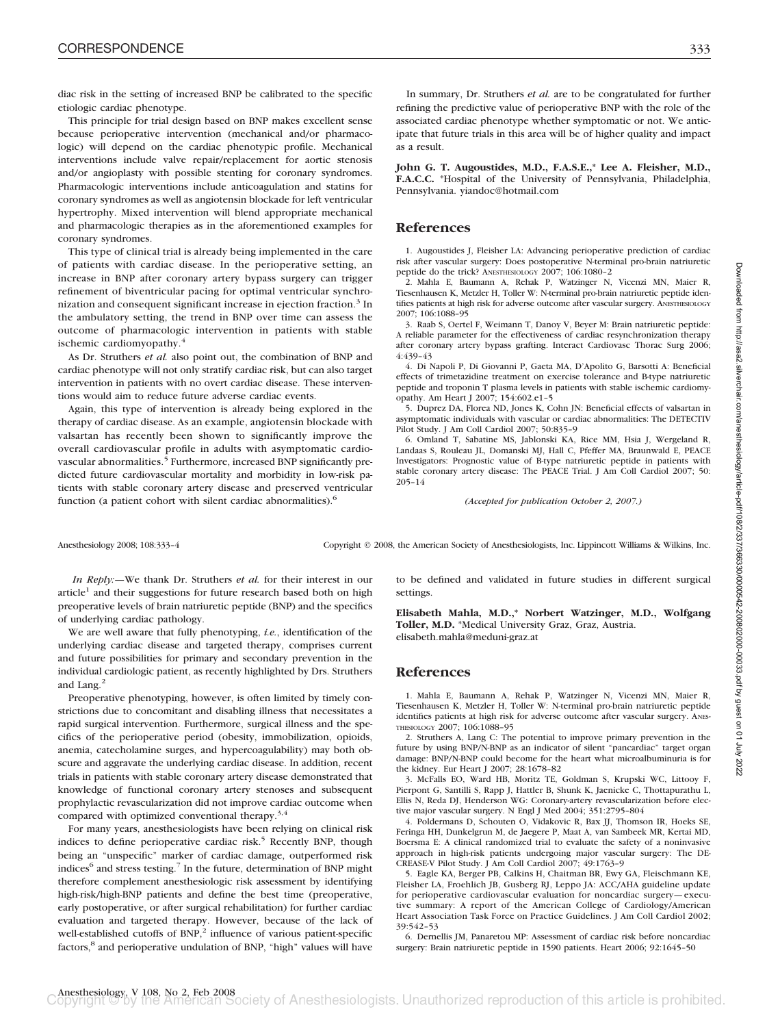diac risk in the setting of increased BNP be calibrated to the specific etiologic cardiac phenotype.

This principle for trial design based on BNP makes excellent sense because perioperative intervention (mechanical and/or pharmacologic) will depend on the cardiac phenotypic profile. Mechanical interventions include valve repair/replacement for aortic stenosis and/or angioplasty with possible stenting for coronary syndromes. Pharmacologic interventions include anticoagulation and statins for coronary syndromes as well as angiotensin blockade for left ventricular hypertrophy. Mixed intervention will blend appropriate mechanical and pharmacologic therapies as in the aforementioned examples for coronary syndromes.

This type of clinical trial is already being implemented in the care of patients with cardiac disease. In the perioperative setting, an increase in BNP after coronary artery bypass surgery can trigger refinement of biventricular pacing for optimal ventricular synchronization and consequent significant increase in ejection fraction.<sup>3</sup> In the ambulatory setting, the trend in BNP over time can assess the outcome of pharmacologic intervention in patients with stable ischemic cardiomyopathy.<sup>4</sup>

As Dr. Struthers *et al.* also point out, the combination of BNP and cardiac phenotype will not only stratify cardiac risk, but can also target intervention in patients with no overt cardiac disease. These interventions would aim to reduce future adverse cardiac events.

Again, this type of intervention is already being explored in the therapy of cardiac disease. As an example, angiotensin blockade with valsartan has recently been shown to significantly improve the overall cardiovascular profile in adults with asymptomatic cardiovascular abnormalities.<sup>5</sup> Furthermore, increased BNP significantly predicted future cardiovascular mortality and morbidity in low-risk patients with stable coronary artery disease and preserved ventricular function (a patient cohort with silent cardiac abnormalities).<sup>6</sup>

In summary, Dr. Struthers *et al.* are to be congratulated for further refining the predictive value of perioperative BNP with the role of the associated cardiac phenotype whether symptomatic or not. We anticipate that future trials in this area will be of higher quality and impact as a result.

**John G. T. Augoustides, M.D., F.A.S.E.,\* Lee A. Fleisher, M.D., F.A.C.C.** \*Hospital of the University of Pennsylvania, Philadelphia, Pennsylvania. yiandoc@hotmail.com

#### **References**

1. Augoustides J, Fleisher LA: Advancing perioperative prediction of cardiac risk after vascular surgery: Does postoperative N-terminal pro-brain natriuretic peptide do the trick? ANESTHESIOLOGY 2007; 106:1080–2

2. Mahla E, Baumann A, Rehak P, Watzinger N, Vicenzi MN, Maier R, Tiesenhausen K, Metzler H, Toller W: N-terminal pro-brain natriuretic peptide identifies patients at high risk for adverse outcome after vascular surgery. ANESTHESIOLOGY 2007; 106:1088–95

3. Raab S, Oertel F, Weimann T, Danoy V, Beyer M: Brain natriuretic peptide: A reliable parameter for the effectiveness of cardiac resynchronization therapy after coronary artery bypass grafting. Interact Cardiovasc Thorac Surg 2006; 4:439–43

4. Di Napoli P, Di Giovanni P, Gaeta MA, D'Apolito G, Barsotti A: Beneficial effects of trimetazidine treatment on exercise tolerance and B-type natriuretic peptide and troponin T plasma levels in patients with stable ischemic cardiomyopathy. Am Heart J 2007; 154:602.e1–5

5. Duprez DA, Florea ND, Jones K, Cohn JN: Beneficial effects of valsartan in asymptomatic individuals with vascular or cardiac abnormalities: The DETECTIV Pilot Study. J Am Coll Cardiol 2007; 50:835–9

6. Omland T, Sabatine MS, Jablonski KA, Rice MM, Hsia J, Wergeland R, Landaas S, Rouleau JL, Domanski MJ, Hall C, Pfeffer MA, Braunwald E, PEACE Investigators: Prognostic value of B-type natriuretic peptide in patients with stable coronary artery disease: The PEACE Trial. J Am Coll Cardiol 2007; 50: 205–14

*(Accepted for publication October 2, 2007.)*

Anesthesiology 2008; 108:333–4 Copyright © 2008, the American Society of Anesthesiologists, Inc. Lippincott Williams & Wilkins, Inc.

*In Reply:—*We thank Dr. Struthers *et al.* for their interest in our article<sup>1</sup> and their suggestions for future research based both on high preoperative levels of brain natriuretic peptide (BNP) and the specifics of underlying cardiac pathology.

We are well aware that fully phenotyping, *i.e.*, identification of the underlying cardiac disease and targeted therapy, comprises current and future possibilities for primary and secondary prevention in the individual cardiologic patient, as recently highlighted by Drs. Struthers and Lang.<sup>2</sup>

Preoperative phenotyping, however, is often limited by timely constrictions due to concomitant and disabling illness that necessitates a rapid surgical intervention. Furthermore, surgical illness and the specifics of the perioperative period (obesity, immobilization, opioids, anemia, catecholamine surges, and hypercoagulability) may both obscure and aggravate the underlying cardiac disease. In addition, recent trials in patients with stable coronary artery disease demonstrated that knowledge of functional coronary artery stenoses and subsequent prophylactic revascularization did not improve cardiac outcome when compared with optimized conventional therapy.<sup>3,4</sup>

For many years, anesthesiologists have been relying on clinical risk indices to define perioperative cardiac risk.<sup>5</sup> Recently BNP, though being an "unspecific" marker of cardiac damage, outperformed risk indices<sup>6</sup> and stress testing.<sup>7</sup> In the future, determination of BNP might therefore complement anesthesiologic risk assessment by identifying high-risk/high-BNP patients and define the best time (preoperative, early postoperative, or after surgical rehabilitation) for further cardiac evaluation and targeted therapy. However, because of the lack of well-established cutoffs of BNP,<sup>2</sup> influence of various patient-specific factors,<sup>8</sup> and perioperative undulation of BNP, "high" values will have

to be defined and validated in future studies in different surgical settings.

**Elisabeth Mahla, M.D.,\* Norbert Watzinger, M.D., Wolfgang Toller, M.D.** \*Medical University Graz, Graz, Austria. elisabeth.mahla@meduni-graz.at

### **References**

1. Mahla E, Baumann A, Rehak P, Watzinger N, Vicenzi MN, Maier R, Tiesenhausen K, Metzler H, Toller W: N-terminal pro-brain natriuretic peptide identifies patients at high risk for adverse outcome after vascular surgery. ANES-THESIOLOGY 2007; 106:1088–95

2. Struthers A, Lang C: The potential to improve primary prevention in the future by using BNP/N-BNP as an indicator of silent "pancardiac" target organ damage: BNP/N-BNP could become for the heart what microalbuminuria is for the kidney. Eur Heart J 2007; 28:1678–82

3. McFalls EO, Ward HB, Moritz TE, Goldman S, Krupski WC, Littooy F, Pierpont G, Santilli S, Rapp J, Hattler B, Shunk K, Jaenicke C, Thottapurathu L, Ellis N, Reda DJ, Henderson WG: Coronary-artery revascularization before elective major vascular surgery. N Engl J Med 2004; 351:2795–804

4. Poldermans D, Schouten O, Vidakovic R, Bax JJ, Thomson IR, Hoeks SE, Feringa HH, Dunkelgrun M, de Jaegere P, Maat A, van Sambeek MR, Kertai MD, Boersma E: A clinical randomized trial to evaluate the safety of a noninvasive approach in high-risk patients undergoing major vascular surgery: The DE-CREASE-V Pilot Study. J Am Coll Cardiol 2007; 49:1763–9

5. Eagle KA, Berger PB, Calkins H, Chaitman BR, Ewy GA, Fleischmann KE, Fleisher LA, Froehlich JB, Gusberg RJ, Leppo JA: ACC/AHA guideline update for perioperative cardiovascular evaluation for noncardiac surgery—executive summary: A report of the American College of Cardiology/American Heart Association Task Force on Practice Guidelines. J Am Coll Cardiol 2002; 39:542–53

6. Dernellis JM, Panaretou MP: Assessment of cardiac risk before noncardiac surgery: Brain natriuretic peptide in 1590 patients. Heart 2006; 92:1645–50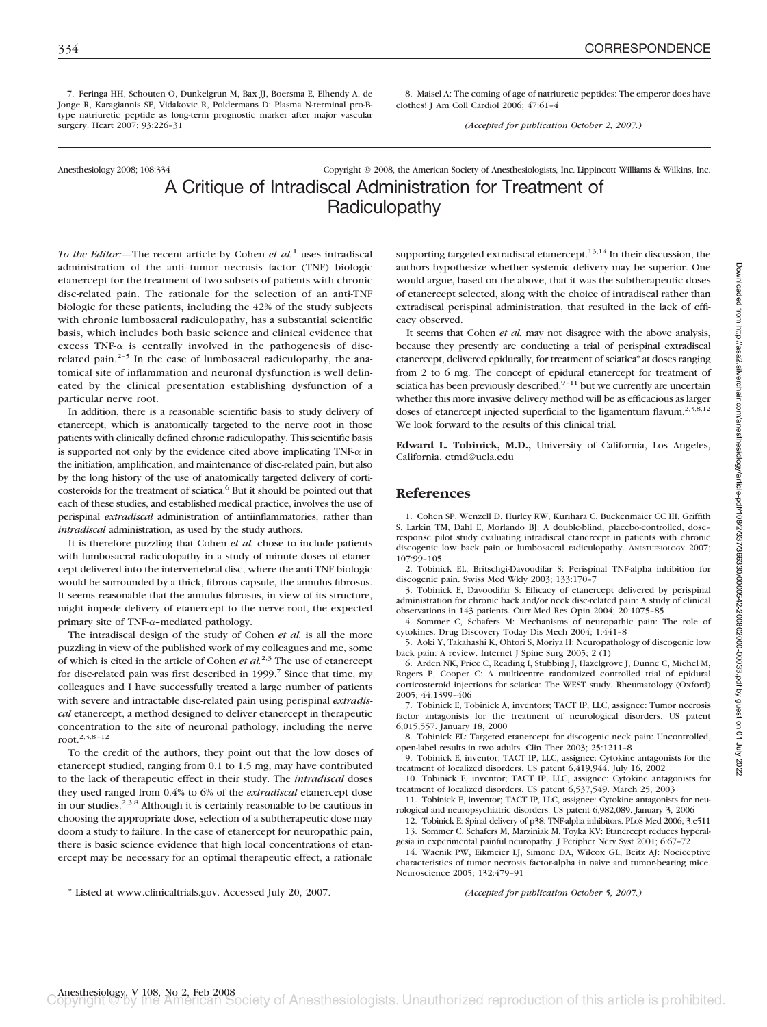7. Feringa HH, Schouten O, Dunkelgrun M, Bax JJ, Boersma E, Elhendy A, de Jonge R, Karagiannis SE, Vidakovic R, Poldermans D: Plasma N-terminal pro-Btype natriuretic peptide as long-term prognostic marker after major vascular surgery. Heart 2007; 93:226–31

8. Maisel A: The coming of age of natriuretic peptides: The emperor does have clothes! J Am Coll Cardiol 2006; 47:61–4

*(Accepted for publication October 2, 2007.)*

Anesthesiology 2008; 108:334 Copyright © 2008, the American Society of Anesthesiologists, Inc. Lippincott Williams & Wilkins, Inc. A Critique of Intradiscal Administration for Treatment of **Radiculopathy** 

*To the Editor:—*The recent article by Cohen *et al.*<sup>1</sup> uses intradiscal administration of the anti–tumor necrosis factor (TNF) biologic etanercept for the treatment of two subsets of patients with chronic disc-related pain. The rationale for the selection of an anti-TNF biologic for these patients, including the 42% of the study subjects with chronic lumbosacral radiculopathy, has a substantial scientific basis, which includes both basic science and clinical evidence that excess TNF- $\alpha$  is centrally involved in the pathogenesis of discrelated pain. $2-5$  In the case of lumbosacral radiculopathy, the anatomical site of inflammation and neuronal dysfunction is well delineated by the clinical presentation establishing dysfunction of a particular nerve root.

In addition, there is a reasonable scientific basis to study delivery of etanercept, which is anatomically targeted to the nerve root in those patients with clinically defined chronic radiculopathy. This scientific basis is supported not only by the evidence cited above implicating  $TNF-\alpha$  in the initiation, amplification, and maintenance of disc-related pain, but also by the long history of the use of anatomically targeted delivery of corticosteroids for the treatment of sciatica.<sup>6</sup> But it should be pointed out that each of these studies, and established medical practice, involves the use of perispinal *extradiscal* administration of antiinflammatories, rather than *intradiscal* administration, as used by the study authors.

It is therefore puzzling that Cohen *et al.* chose to include patients with lumbosacral radiculopathy in a study of minute doses of etanercept delivered into the intervertebral disc, where the anti-TNF biologic would be surrounded by a thick, fibrous capsule, the annulus fibrosus. It seems reasonable that the annulus fibrosus, in view of its structure, might impede delivery of etanercept to the nerve root, the expected primary site of TNF- $\alpha$ -mediated pathology.

The intradiscal design of the study of Cohen *et al.* is all the more puzzling in view of the published work of my colleagues and me, some of which is cited in the article of Cohen *et al.*2,3 The use of etanercept for disc-related pain was first described in  $1999$ .<sup>7</sup> Since that time, my colleagues and I have successfully treated a large number of patients with severe and intractable disc-related pain using perispinal *extradiscal* etanercept, a method designed to deliver etanercept in therapeutic concentration to the site of neuronal pathology, including the nerve root.2,3,8 –12

To the credit of the authors, they point out that the low doses of etanercept studied, ranging from 0.1 to 1.5 mg, may have contributed to the lack of therapeutic effect in their study. The *intradiscal* doses they used ranged from 0.4% to 6% of the *extradiscal* etanercept dose in our studies.2,3,8 Although it is certainly reasonable to be cautious in choosing the appropriate dose, selection of a subtherapeutic dose may doom a study to failure. In the case of etanercept for neuropathic pain, there is basic science evidence that high local concentrations of etanercept may be necessary for an optimal therapeutic effect, a rationale

supporting targeted extradiscal etanercept.<sup>13,14</sup> In their discussion, the authors hypothesize whether systemic delivery may be superior. One would argue, based on the above, that it was the subtherapeutic doses of etanercept selected, along with the choice of intradiscal rather than extradiscal perispinal administration, that resulted in the lack of efficacy observed.

It seems that Cohen *et al.* may not disagree with the above analysis, because they presently are conducting a trial of perispinal extradiscal etanercept, delivered epidurally, for treatment of sciatica\* at doses ranging from 2 to 6 mg. The concept of epidural etanercept for treatment of sciatica has been previously described, $9-11$  but we currently are uncertain whether this more invasive delivery method will be as efficacious as larger doses of etanercept injected superficial to the ligamentum flavum.<sup>2,3,8,12</sup> We look forward to the results of this clinical trial.

**Edward L. Tobinick, M.D.,** University of California, Los Angeles, California. etmd@ucla.edu

#### **References**

1. Cohen SP, Wenzell D, Hurley RW, Kurihara C, Buckenmaier CC III, Griffith S, Larkin TM, Dahl E, Morlando BJ: A double-blind, placebo-controlled, dose– response pilot study evaluating intradiscal etanercept in patients with chronic discogenic low back pain or lumbosacral radiculopathy. ANESTHESIOLOGY 2007; 107:99–105

2. Tobinick EL, Britschgi-Davoodifar S: Perispinal TNF-alpha inhibition for discogenic pain. Swiss Med Wkly 2003; 133:170–7

3. Tobinick E, Davoodifar S: Efficacy of etanercept delivered by perispinal administration for chronic back and/or neck disc-related pain: A study of clinical observations in 143 patients. Curr Med Res Opin 2004; 20:1075–85

4. Sommer C, Schafers M: Mechanisms of neuropathic pain: The role of cytokines. Drug Discovery Today Dis Mech 2004; 1:441–8

5. Aoki Y, Takahashi K, Ohtori S, Moriya H: Neuropathology of discogenic low back pain: A review. Internet J Spine Surg 2005; 2 (1)

6. Arden NK, Price C, Reading I, Stubbing J, Hazelgrove J, Dunne C, Michel M, Rogers P, Cooper C: A multicentre randomized controlled trial of epidural corticosteroid injections for sciatica: The WEST study. Rheumatology (Oxford) 2005; 44:1399–406

7. Tobinick E, Tobinick A, inventors; TACT IP, LLC, assignee: Tumor necrosis factor antagonists for the treatment of neurological disorders. US patent 6,015,557. January 18, 2000

8. Tobinick EL: Targeted etanercept for discogenic neck pain: Uncontrolled, open-label results in two adults. Clin Ther 2003; 25:1211–8

9. Tobinick E, inventor; TACT IP, LLC, assignee: Cytokine antagonists for the treatment of localized disorders. US patent 6,419,944. July 16, 2002

10. Tobinick E, inventor; TACT IP, LLC, assignee: Cytokine antagonists for treatment of localized disorders. US patent 6,537,549. March 25, 2003

11. Tobinick E, inventor; TACT IP, LLC, assignee: Cytokine antagonists for neurological and neuropsychiatric disorders. US patent 6,982,089. January 3, 2006

12. Tobinick E: Spinal delivery of p38: TNF-alpha inhibitors. PLoS Med 2006; 3:e511 13. Sommer C, Schafers M, Marziniak M, Toyka KV: Etanercept reduces hyperal-

gesia in experimental painful neuropathy. J Peripher Nerv Syst 2001; 6:67–72 14. Wacnik PW, Eikmeier LJ, Simone DA, Wilcox GL, Beitz AJ: Nociceptive

characteristics of tumor necrosis factor-alpha in naive and tumor-bearing mice. Neuroscience 2005; 132:479–91

\* Listed at www.clinicaltrials.gov. Accessed July 20, 2007. *(Accepted for publication October 5, 2007.)*

Anesthesiology, V 108, No 2, Feb 2008<br> **Example 2008** Copyright C by the American Society of Anesthesiologists. Unauthorized reproduction of this article is prohibited.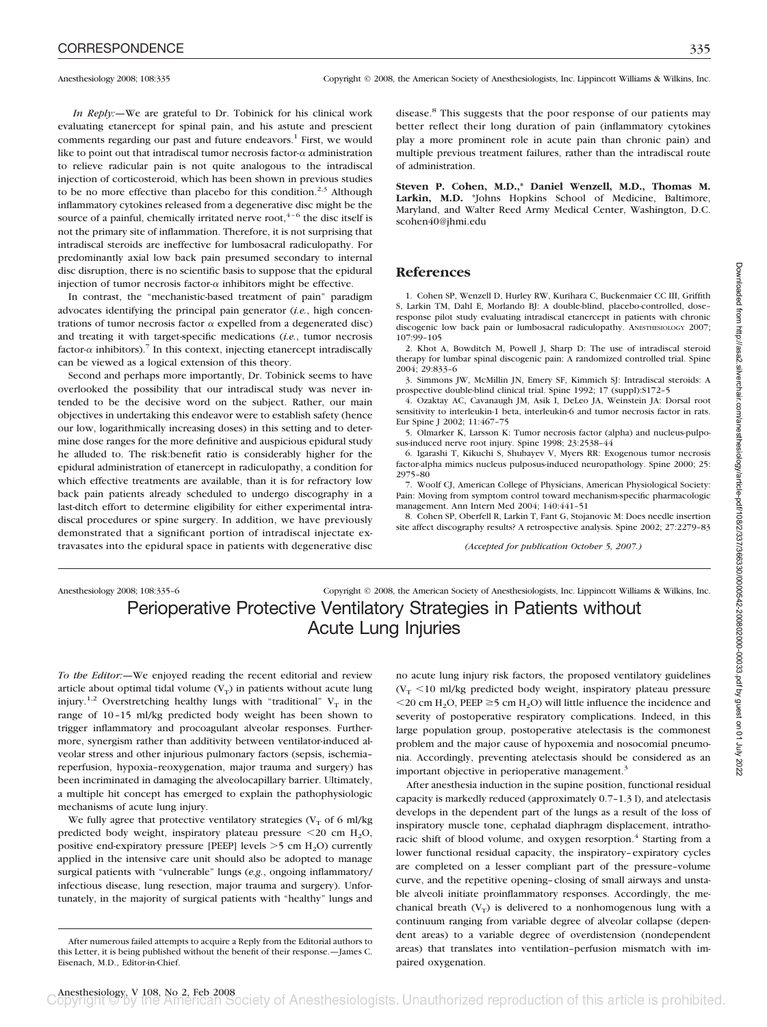*In Reply:—*We are grateful to Dr. Tobinick for his clinical work evaluating etanercept for spinal pain, and his astute and prescient comments regarding our past and future endeavors.<sup>1</sup> First, we would like to point out that intradiscal tumor necrosis factor- $\alpha$  administration to relieve radicular pain is not quite analogous to the intradiscal injection of corticosteroid, which has been shown in previous studies to be no more effective than placebo for this condition.<sup>2,3</sup> Although inflammatory cytokines released from a degenerative disc might be the source of a painful, chemically irritated nerve root,  $4-6$  the disc itself is not the primary site of inflammation. Therefore, it is not surprising that intradiscal steroids are ineffective for lumbosacral radiculopathy. For predominantly axial low back pain presumed secondary to internal disc disruption, there is no scientific basis to suppose that the epidural injection of tumor necrosis factor- $\alpha$  inhibitors might be effective.

In contrast, the "mechanistic-based treatment of pain" paradigm advocates identifying the principal pain generator (*i.e.*, high concentrations of tumor necrosis factor  $\alpha$  expelled from a degenerated disc) and treating it with target-specific medications (*i.e.*, tumor necrosis factor- $\alpha$  inhibitors).<sup>7</sup> In this context, injecting etanercept intradiscally can be viewed as a logical extension of this theory.

Second and perhaps more importantly, Dr. Tobinick seems to have overlooked the possibility that our intradiscal study was never intended to be the decisive word on the subject. Rather, our main objectives in undertaking this endeavor were to establish safety (hence our low, logarithmically increasing doses) in this setting and to determine dose ranges for the more definitive and auspicious epidural study he alluded to. The risk:benefit ratio is considerably higher for the epidural administration of etanercept in radiculopathy, a condition for which effective treatments are available, than it is for refractory low back pain patients already scheduled to undergo discography in a last-ditch effort to determine eligibility for either experimental intradiscal procedures or spine surgery. In addition, we have previously demonstrated that a significant portion of intradiscal injectate extravasates into the epidural space in patients with degenerative disc disease.<sup>8</sup> This suggests that the poor response of our patients may better reflect their long duration of pain (inflammatory cytokines play a more prominent role in acute pain than chronic pain) and multiple previous treatment failures, rather than the intradiscal route of administration.

**Steven P. Cohen, M.D.,\* Daniel Wenzell, M.D., Thomas M. Larkin, M.D.** \*Johns Hopkins School of Medicine, Baltimore, Maryland, and Walter Reed Army Medical Center, Washington, D.C. scohen40@jhmi.edu

#### **References**

1. Cohen SP, Wenzell D, Hurley RW, Kurihara C, Buckenmaier CC III, Griffith S, Larkin TM, Dahl E, Morlando BJ: A double-blind, placebo-controlled, dose– response pilot study evaluating intradiscal etanercept in patients with chronic discogenic low back pain or lumbosacral radiculopathy. ANESTHESIOLOGY 2007; 107:99–105

2. Khot A, Bowditch M, Powell J, Sharp D: The use of intradiscal steroid therapy for lumbar spinal discogenic pain: A randomized controlled trial. Spine 2004; 29:833–6

3. Simmons JW, McMillin JN, Emery SF, Kimmich SJ: Intradiscal steroids: A prospective double-blind clinical trial. Spine 1992; 17 (suppl):S172–5

4. Ozaktay AC, Cavanaugh JM, Asik I, DeLeo JA, Weinstein JA: Dorsal root sensitivity to interleukin-1 beta, interleukin-6 and tumor necrosis factor in rats. Eur Spine J 2002; 11:467–75

5. Olmarker K, Larsson K: Tumor necrosis factor (alpha) and nucleus-pulposus-induced nerve root injury. Spine 1998; 23:2538–44

6. Igarashi T, Kikuchi S, Shubayev V, Myers RR: Exogenous tumor necrosis factor-alpha mimics nucleus pulposus-induced neuropathology. Spine 2000; 25: 2975–80

7. Woolf CJ, American College of Physicians, American Physiological Society: Pain: Moving from symptom control toward mechanism-specific pharmacologic management. Ann Intern Med 2004; 140:441–51

8. Cohen SP, Oberfell R, Larkin T, Fant G, Stojanovic M: Does needle insertion site affect discography results? A retrospective analysis. Spine 2002; 27:2279–83

*(Accepted for publication October 5, 2007.)*

Anesthesiology 2008; 108:335–6 Copyright © 2008, the American Society of Anesthesiologists, Inc. Lippincott Williams & Wilkins, Inc.

# Perioperative Protective Ventilatory Strategies in Patients without Acute Lung Injuries

*To the Editor:—*We enjoyed reading the recent editorial and review article about optimal tidal volume  $(V_T)$  in patients without acute lung injury.<sup>1,2</sup> Overstretching healthy lungs with "traditional"  $V_T$  in the range of 10 –15 ml/kg predicted body weight has been shown to trigger inflammatory and procoagulant alveolar responses. Furthermore, synergism rather than additivity between ventilator-induced alveolar stress and other injurious pulmonary factors (sepsis, ischemia– reperfusion, hypoxia–reoxygenation, major trauma and surgery) has been incriminated in damaging the alveolocapillary barrier. Ultimately, a multiple hit concept has emerged to explain the pathophysiologic mechanisms of acute lung injury.

We fully agree that protective ventilatory strategies  $(V_T \text{ of } 6 \text{ ml/kg})$ predicted body weight, inspiratory plateau pressure  $\leq$ 20 cm H<sub>2</sub>O, positive end-expiratory pressure [PEEP] levels  $>$  5 cm H<sub>2</sub>O) currently applied in the intensive care unit should also be adopted to manage surgical patients with "vulnerable" lungs (*e.g.*, ongoing inflammatory/ infectious disease, lung resection, major trauma and surgery). Unfortunately, in the majority of surgical patients with "healthy" lungs and no acute lung injury risk factors, the proposed ventilatory guidelines  $(V<sub>T</sub>$  <10 ml/kg predicted body weight, inspiratory plateau pressure  $<$ 20 cm H<sub>2</sub>O, PEEP  $\ge$  5 cm H<sub>2</sub>O) will little influence the incidence and severity of postoperative respiratory complications. Indeed, in this large population group, postoperative atelectasis is the commonest problem and the major cause of hypoxemia and nosocomial pneumonia. Accordingly, preventing atelectasis should be considered as an important objective in perioperative management.<sup>3</sup>

After anesthesia induction in the supine position, functional residual capacity is markedly reduced (approximately 0.7–1.3 l), and atelectasis develops in the dependent part of the lungs as a result of the loss of inspiratory muscle tone, cephalad diaphragm displacement, intrathoracic shift of blood volume, and oxygen resorption.<sup>4</sup> Starting from a lower functional residual capacity, the inspiratory–expiratory cycles are completed on a lesser compliant part of the pressure–volume curve, and the repetitive opening–closing of small airways and unstable alveoli initiate proinflammatory responses. Accordingly, the mechanical breath  $(V_T)$  is delivered to a nonhomogenous lung with a continuum ranging from variable degree of alveolar collapse (dependent areas) to a variable degree of overdistension (nondependent areas) that translates into ventilation–perfusion mismatch with impaired oxygenation.

After numerous failed attempts to acquire a Reply from the Editorial authors to this Letter, it is being published without the benefit of their response.—James C. Eisenach, M.D., Editor-in-Chief.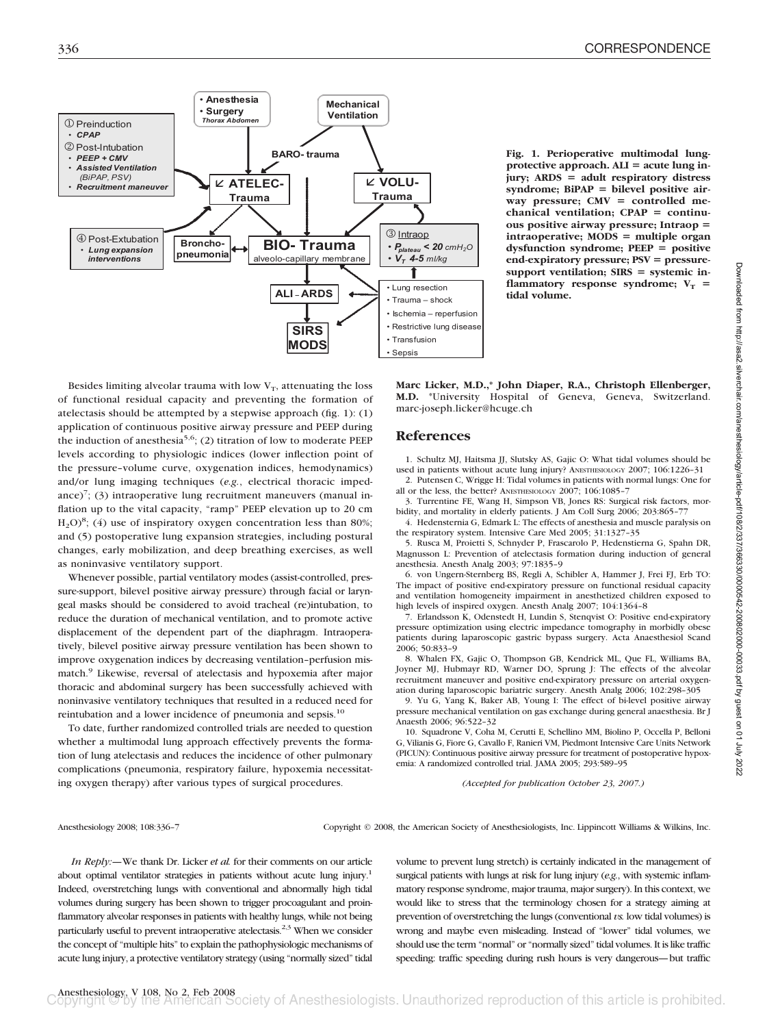

**Fig. 1. Perioperative multimodal lung**protective approach. ALI = acute lung in**jury; ARDS adult respiratory distress** syndrome; BiPAP = bilevel positive airway pressure; CMV = controlled mechanical ventilation; CPAP = continu**ous positive airway pressure; Intraop intraoperative;** MODS = multiple organ **dysfunction syndrome; PEEP positive** end-expiratory pressure; PSV = pressuresupport ventilation; SIRS = systemic in**flammatory** response syndrome;  $V_T$  = **tidal volume.**

Besides limiting alveolar trauma with low  $V_T$ , attenuating the loss of functional residual capacity and preventing the formation of atelectasis should be attempted by a stepwise approach (fig. 1): (1) application of continuous positive airway pressure and PEEP during the induction of anesthesia<sup>5,6</sup>; (2) titration of low to moderate PEEP levels according to physiologic indices (lower inflection point of the pressure–volume curve, oxygenation indices, hemodynamics) and/or lung imaging techniques (*e.g.*, electrical thoracic impedance)<sup>7</sup>; (3) intraoperative lung recruitment maneuvers (manual inflation up to the vital capacity, "ramp" PEEP elevation up to 20 cm  $H<sub>2</sub>O<sup>8</sup>$ ; (4) use of inspiratory oxygen concentration less than 80%; and (5) postoperative lung expansion strategies, including postural changes, early mobilization, and deep breathing exercises, as well as noninvasive ventilatory support.

Whenever possible, partial ventilatory modes (assist-controlled, pressure-support, bilevel positive airway pressure) through facial or laryngeal masks should be considered to avoid tracheal (re)intubation, to reduce the duration of mechanical ventilation, and to promote active displacement of the dependent part of the diaphragm. Intraoperatively, bilevel positive airway pressure ventilation has been shown to improve oxygenation indices by decreasing ventilation–perfusion mismatch.<sup>9</sup> Likewise, reversal of atelectasis and hypoxemia after major thoracic and abdominal surgery has been successfully achieved with noninvasive ventilatory techniques that resulted in a reduced need for reintubation and a lower incidence of pneumonia and sepsis.<sup>10</sup>

To date, further randomized controlled trials are needed to question whether a multimodal lung approach effectively prevents the formation of lung atelectasis and reduces the incidence of other pulmonary complications (pneumonia, respiratory failure, hypoxemia necessitating oxygen therapy) after various types of surgical procedures.

**Marc Licker, M.D.,\* John Diaper, R.A., Christoph Ellenberger, M.D.** \*University Hospital of Geneva, Geneva, Switzerland. marc-joseph.licker@hcuge.ch

#### **References**

1. Schultz MJ, Haitsma JJ, Slutsky AS, Gajic O: What tidal volumes should be used in patients without acute lung injury? ANESTHESIOLOGY 2007; 106:1226–31 2. Putensen C, Wrigge H: Tidal volumes in patients with normal lungs: One for

all or the less, the better? ANESTHESIOLOGY 2007; 106:1085–7 3. Turrentine FE, Wang H, Simpson VB, Jones RS: Surgical risk factors, mor-

bidity, and mortality in elderly patients. J Am Coll Surg 2006; 203:865-7

4. Hedensternia G, Edmark L: The effects of anesthesia and muscle paralysis on the respiratory system. Intensive Care Med 2005; 31:1327–35

5. Rusca M, Proietti S, Schnyder P, Frascarolo P, Hedenstierna G, Spahn DR, Magnusson L: Prevention of atelectasis formation during induction of general anesthesia. Anesth Analg 2003; 97:1835–9

6. von Ungern-Sternberg BS, Regli A, Schibler A, Hammer J, Frei FJ, Erb TO: The impact of positive end-expiratory pressure on functional residual capacity and ventilation homogeneity impairment in anesthetized children exposed to high levels of inspired oxygen. Anesth Analg 2007; 104:1364–8

7. Erlandsson K, Odenstedt H, Lundin S, Stenqvist O: Positive end-expiratory pressure optimization using electric impedance tomography in morbidly obese patients during laparoscopic gastric bypass surgery. Acta Anaesthesiol Scand 2006; 50:833–9

8. Whalen FX, Gajic O, Thompson GB, Kendrick ML, Que FL, Williams BA, Joyner MJ, Hubmayr RD, Warner DO, Sprung J: The effects of the alveolar recruitment maneuver and positive end-expiratory pressure on arterial oxygenation during laparoscopic bariatric surgery. Anesth Analg 2006; 102:298–305

9. Yu G, Yang K, Baker AB, Young I: The effect of bi-level positive airway pressure mechanical ventilation on gas exchange during general anaesthesia. Br J Anaesth 2006; 96:522–32

10. Squadrone V, Coha M, Cerutti E, Schellino MM, Biolino P, Occella P, Belloni G, Vilianis G, Fiore G, Cavallo F, Ranieri VM, Piedmont Intensive Care Units Network (PICUN): Continuous positive airway pressure for treatment of postoperative hypoxemia: A randomized controlled trial. JAMA 2005; 293:589–95

*(Accepted for publication October 23, 2007.)*

Anesthesiology 2008; 108:336–7 Copyright © 2008, the American Society of Anesthesiologists, Inc. Lippincott Williams & Wilkins, Inc.

*In Reply:—*We thank Dr. Licker *et al.* for their comments on our article about optimal ventilator strategies in patients without acute lung injury.<sup>1</sup> Indeed, overstretching lungs with conventional and abnormally high tidal volumes during surgery has been shown to trigger procoagulant and proinflammatory alveolar responses in patients with healthy lungs, while not being particularly useful to prevent intraoperative atelectasis.<sup>2,3</sup> When we consider the concept of "multiple hits" to explain the pathophysiologic mechanisms of acute lung injury, a protective ventilatory strategy (using "normally sized" tidal volume to prevent lung stretch) is certainly indicated in the management of surgical patients with lungs at risk for lung injury (*e.g.*, with systemic inflammatory response syndrome, major trauma, major surgery). In this context, we would like to stress that the terminology chosen for a strategy aiming at prevention of overstretching the lungs (conventional *vs.* low tidal volumes) is wrong and maybe even misleading. Instead of "lower" tidal volumes, we should use the term "normal" or "normally sized" tidal volumes. It is like traffic speeding: traffic speeding during rush hours is very dangerous—but traffic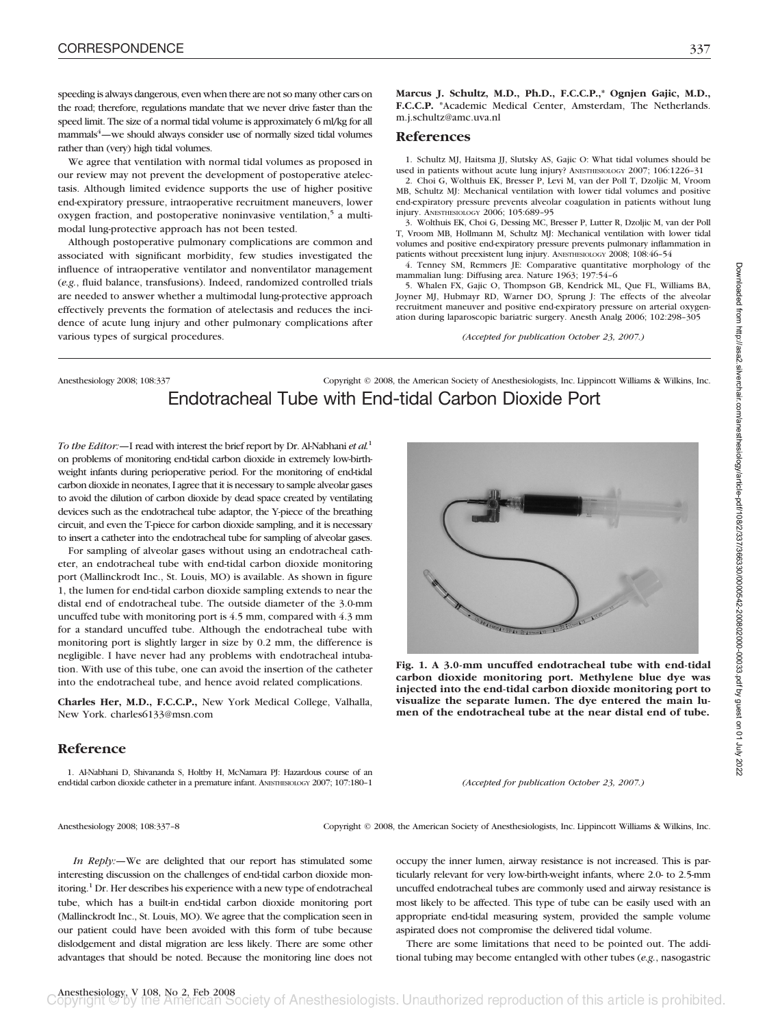speeding is always dangerous, even when there are not so many other cars on the road; therefore, regulations mandate that we never drive faster than the speed limit. The size of a normal tidal volume is approximately 6 ml/kg for all mammals<sup>4</sup>—we should always consider use of normally sized tidal volumes rather than (very) high tidal volumes.

We agree that ventilation with normal tidal volumes as proposed in our review may not prevent the development of postoperative atelectasis. Although limited evidence supports the use of higher positive end-expiratory pressure, intraoperative recruitment maneuvers, lower oxygen fraction, and postoperative noninvasive ventilation, $5$  a multimodal lung-protective approach has not been tested.

Although postoperative pulmonary complications are common and associated with significant morbidity, few studies investigated the influence of intraoperative ventilator and nonventilator management (*e.g.*, fluid balance, transfusions). Indeed, randomized controlled trials are needed to answer whether a multimodal lung-protective approach effectively prevents the formation of atelectasis and reduces the incidence of acute lung injury and other pulmonary complications after various types of surgical procedures.

**Marcus J. Schultz, M.D., Ph.D., F.C.C.P.,\* Ognjen Gajic, M.D., F.C.C.P.** \*Academic Medical Center, Amsterdam, The Netherlands. m.j.schultz@amc.uva.nl

#### **References**

1. Schultz MJ, Haitsma JJ, Slutsky AS, Gajic O: What tidal volumes should be used in patients without acute lung injury? ANESTHESIOLOGY 2007; 106:1226–31

2. Choi G, Wolthuis EK, Bresser P, Levi M, van der Poll T, Dzoljic M, Vroom MB, Schultz MJ: Mechanical ventilation with lower tidal volumes and positive end-expiratory pressure prevents alveolar coagulation in patients without lung injury. ANESTHESIOLOGY 2006; 105:689–95

3. Wolthuis EK, Choi G, Dessing MC, Bresser P, Lutter R, Dzoljic M, van der Poll T, Vroom MB, Hollmann M, Schultz MJ: Mechanical ventilation with lower tidal volumes and positive end-expiratory pressure prevents pulmonary inflammation in patients without preexistent lung injury. ANESTHESIOLOGY 2008; 108:46–54

4. Tenney SM, Remmers JE: Comparative quantitative morphology of the mammalian lung: Diffusing area. Nature 1963; 197:54–6

5. Whalen FX, Gajic O, Thompson GB, Kendrick ML, Que FL, Williams BA, Joyner MJ, Hubmayr RD, Warner DO, Sprung J: The effects of the alveolar recruitment maneuver and positive end-expiratory pressure on arterial oxygenation during laparoscopic bariatric surgery. Anesth Analg 2006; 102:298–305

*(Accepted for publication October 23, 2007.)*

Anesthesiology 2008; 108:337 Copyright © 2008, the American Society of Anesthesiologists, Inc. Lippincott Williams & Wilkins, Inc. Endotracheal Tube with End-tidal Carbon Dioxide Port

*To the Editor:—*I read with interest the brief report by Dr. Al-Nabhani *et al.*<sup>1</sup> on problems of monitoring end-tidal carbon dioxide in extremely low-birthweight infants during perioperative period. For the monitoring of end-tidal carbon dioxide in neonates, I agree that it is necessary to sample alveolar gases to avoid the dilution of carbon dioxide by dead space created by ventilating devices such as the endotracheal tube adaptor, the Y-piece of the breathing circuit, and even the T-piece for carbon dioxide sampling, and it is necessary to insert a catheter into the endotracheal tube for sampling of alveolar gases.

For sampling of alveolar gases without using an endotracheal catheter, an endotracheal tube with end-tidal carbon dioxide monitoring port (Mallinckrodt Inc., St. Louis, MO) is available. As shown in figure 1, the lumen for end-tidal carbon dioxide sampling extends to near the distal end of endotracheal tube. The outside diameter of the 3.0-mm uncuffed tube with monitoring port is 4.5 mm, compared with 4.3 mm for a standard uncuffed tube. Although the endotracheal tube with monitoring port is slightly larger in size by 0.2 mm, the difference is negligible. I have never had any problems with endotracheal intubation. With use of this tube, one can avoid the insertion of the catheter into the endotracheal tube, and hence avoid related complications.

**Charles Her, M.D., F.C.C.P.,** New York Medical College, Valhalla, New York. charles6133@msn.com

#### **Reference**

1. Al-Nabhani D, Shivananda S, Holtby H, McNamara PJ: Hazardous course of an end-tidal carbon dioxide catheter in a premature infant. ANESTHESIOLOGY 2007; 107:180-1 *(Accepted for publication October 23, 2007.*)



**Fig. 1. A 3.0-mm uncuffed endotracheal tube with end-tidal carbon dioxide monitoring port. Methylene blue dye was injected into the end-tidal carbon dioxide monitoring port to visualize the separate lumen. The dye entered the main lumen of the endotracheal tube at the near distal end of tube.**

Anesthesiology 2008; 108:337–8 Copyright © 2008, the American Society of Anesthesiologists, Inc. Lippincott Williams & Wilkins, Inc.

*In Reply:—*We are delighted that our report has stimulated some interesting discussion on the challenges of end-tidal carbon dioxide monitoring.<sup>1</sup> Dr. Her describes his experience with a new type of endotracheal tube, which has a built-in end-tidal carbon dioxide monitoring port (Mallinckrodt Inc., St. Louis, MO). We agree that the complication seen in our patient could have been avoided with this form of tube because dislodgement and distal migration are less likely. There are some other advantages that should be noted. Because the monitoring line does not occupy the inner lumen, airway resistance is not increased. This is particularly relevant for very low-birth-weight infants, where 2.0- to 2.5-mm uncuffed endotracheal tubes are commonly used and airway resistance is most likely to be affected. This type of tube can be easily used with an appropriate end-tidal measuring system, provided the sample volume aspirated does not compromise the delivered tidal volume.

There are some limitations that need to be pointed out. The additional tubing may become entangled with other tubes (*e.g.*, nasogastric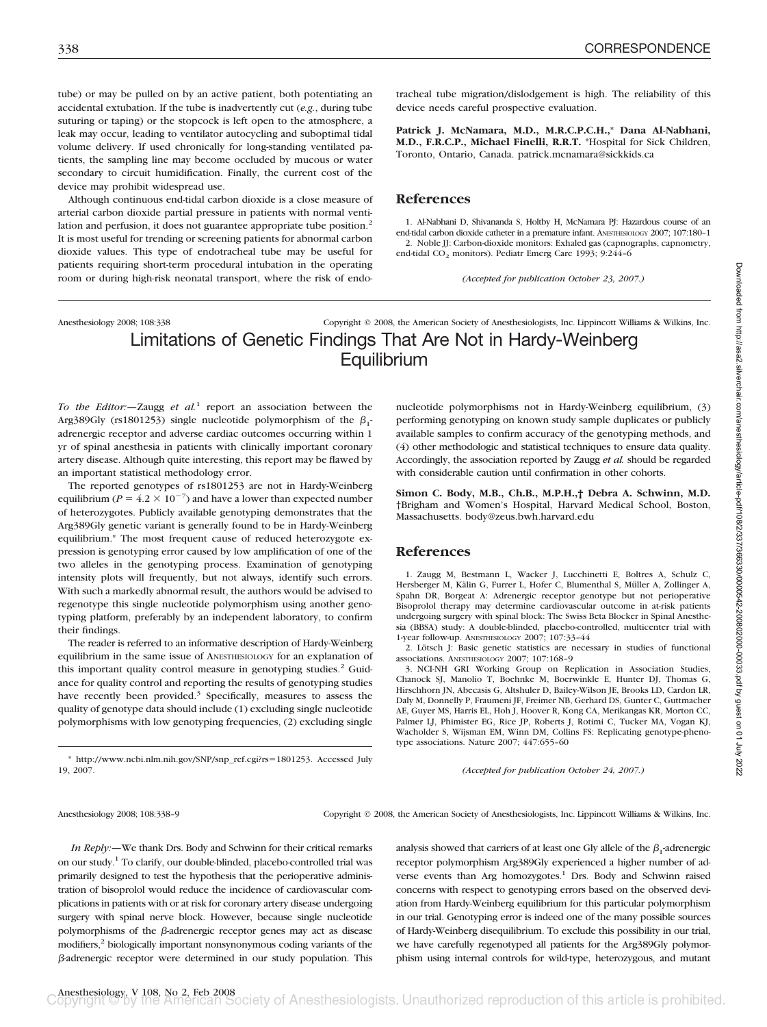tube) or may be pulled on by an active patient, both potentiating an accidental extubation. If the tube is inadvertently cut (*e.g.*, during tube suturing or taping) or the stopcock is left open to the atmosphere, a leak may occur, leading to ventilator autocycling and suboptimal tidal volume delivery. If used chronically for long-standing ventilated patients, the sampling line may become occluded by mucous or water secondary to circuit humidification. Finally, the current cost of the device may prohibit widespread use.

Although continuous end-tidal carbon dioxide is a close measure of arterial carbon dioxide partial pressure in patients with normal ventilation and perfusion, it does not guarantee appropriate tube position.<sup>2</sup> It is most useful for trending or screening patients for abnormal carbon dioxide values. This type of endotracheal tube may be useful for patients requiring short-term procedural intubation in the operating room or during high-risk neonatal transport, where the risk of endo-

tracheal tube migration/dislodgement is high. The reliability of this device needs careful prospective evaluation.

**Patrick J. McNamara, M.D., M.R.C.P.C.H.,\* Dana Al-Nabhani, M.D., F.R.C.P., Michael Finelli, R.R.T.** \*Hospital for Sick Children, Toronto, Ontario, Canada. patrick.mcnamara@sickkids.ca

#### **References**

1. Al-Nabhani D, Shivananda S, Holtby H, McNamara PJ: Hazardous course of an end-tidal carbon dioxide catheter in a premature infant. ANESTHESIOLOGY 2007; 107:180–1 2. Noble JJ: Carbon-dioxide monitors: Exhaled gas (capnographs, capnometry, end-tidal CO<sub>2</sub> monitors). Pediatr Emerg Care 1993; 9:244-6

*(Accepted for publication October 23, 2007.)*

Anesthesiology 2008; 108:338 Copyright © 2008, the American Society of Anesthesiologists, Inc. Lippincott Williams & Wilkins, Inc. Limitations of Genetic Findings That Are Not in Hardy-Weinberg **Equilibrium** 

*To the Editor:—*Zaugg *et al.*<sup>1</sup> report an association between the Arg389Gly (rs1801253) single nucleotide polymorphism of the  $\beta_1$ adrenergic receptor and adverse cardiac outcomes occurring within 1 yr of spinal anesthesia in patients with clinically important coronary artery disease. Although quite interesting, this report may be flawed by an important statistical methodology error.

The reported genotypes of rs1801253 are not in Hardy-Weinberg equilibrium ( $P = 4.2 \times 10^{-7}$ ) and have a lower than expected number of heterozygotes. Publicly available genotyping demonstrates that the Arg389Gly genetic variant is generally found to be in Hardy-Weinberg equilibrium.\* The most frequent cause of reduced heterozygote expression is genotyping error caused by low amplification of one of the two alleles in the genotyping process. Examination of genotyping intensity plots will frequently, but not always, identify such errors. With such a markedly abnormal result, the authors would be advised to regenotype this single nucleotide polymorphism using another genotyping platform, preferably by an independent laboratory, to confirm their findings.

The reader is referred to an informative description of Hardy-Weinberg equilibrium in the same issue of ANESTHESIOLOGY for an explanation of this important quality control measure in genotyping studies.<sup>2</sup> Guidance for quality control and reporting the results of genotyping studies have recently been provided.<sup>3</sup> Specifically, measures to assess the quality of genotype data should include (1) excluding single nucleotide polymorphisms with low genotyping frequencies, (2) excluding single

\* http://www.ncbi.nlm.nih.gov/SNP/snp\_ref.cgi?rs-1801253. Accessed July

nucleotide polymorphisms not in Hardy-Weinberg equilibrium, (3) performing genotyping on known study sample duplicates or publicly available samples to confirm accuracy of the genotyping methods, and (4) other methodologic and statistical techniques to ensure data quality. Accordingly, the association reported by Zaugg *et al.* should be regarded with considerable caution until confirmation in other cohorts.

**Simon C. Body, M.B., Ch.B., M.P.H.,† Debra A. Schwinn, M.D.** †Brigham and Women's Hospital, Harvard Medical School, Boston, Massachusetts. body@zeus.bwh.harvard.edu

### **References**

1. Zaugg M, Bestmann L, Wacker J, Lucchinetti E, Boltres A, Schulz C, Hersberger M, Kälin G, Furrer L, Hofer C, Blumenthal S, Müller A, Zollinger A, Spahn DR, Borgeat A: Adrenergic receptor genotype but not perioperative Bisoprolol therapy may determine cardiovascular outcome in at-risk patients undergoing surgery with spinal block: The Swiss Beta Blocker in Spinal Anesthesia (BBSA) study: A double-blinded, placebo-controlled, multicenter trial with 1-year follow-up. ANESTHESIOLOGY 2007; 107:33–44

2. Lötsch J: Basic genetic statistics are necessary in studies of functional associations. ANESTHESIOLOGY 2007; 107:168–9

3. NCI-NH GRI Working Group on Replication in Association Studies, Chanock SJ, Manolio T, Boehnke M, Boerwinkle E, Hunter DJ, Thomas G, Hirschhorn JN, Abecasis G, Altshuler D, Bailey-Wilson JE, Brooks LD, Cardon LR, Daly M, Donnelly P, Fraumeni JF, Freimer NB, Gerhard DS, Gunter C, Guttmacher AE, Guyer MS, Harris EL, Hoh J, Hoover R, Kong CA, Merikangas KR, Morton CC, Palmer LJ, Phimister EG, Rice JP, Roberts J, Rotimi C, Tucker MA, Vogan KJ, Wacholder S, Wijsman EM, Winn DM, Collins FS: Replicating genotype-phenotype associations. Nature 2007; 447:655–60

*(Accepted for publication October 24, 2007.)*

19, 2007.

Anesthesiology 2008; 108:338–9 Copyright © 2008, the American Society of Anesthesiologists, Inc. Lippincott Williams & Wilkins, Inc.

*In Reply:—*We thank Drs. Body and Schwinn for their critical remarks on our study.1 To clarify, our double-blinded, placebo-controlled trial was primarily designed to test the hypothesis that the perioperative administration of bisoprolol would reduce the incidence of cardiovascular complications in patients with or at risk for coronary artery disease undergoing surgery with spinal nerve block. However, because single nucleotide polymorphisms of the  $\beta$ -adrenergic receptor genes may act as disease modifiers,<sup>2</sup> biologically important nonsynonymous coding variants of the  $\beta$ -adrenergic receptor were determined in our study population. This analysis showed that carriers of at least one Gly allele of the  $\beta_1$ -adrenergic receptor polymorphism Arg389Gly experienced a higher number of adverse events than Arg homozygotes.<sup>1</sup> Drs. Body and Schwinn raised concerns with respect to genotyping errors based on the observed deviation from Hardy-Weinberg equilibrium for this particular polymorphism in our trial. Genotyping error is indeed one of the many possible sources of Hardy-Weinberg disequilibrium. To exclude this possibility in our trial, we have carefully regenotyped all patients for the Arg389Gly polymorphism using internal controls for wild-type, heterozygous, and mutant